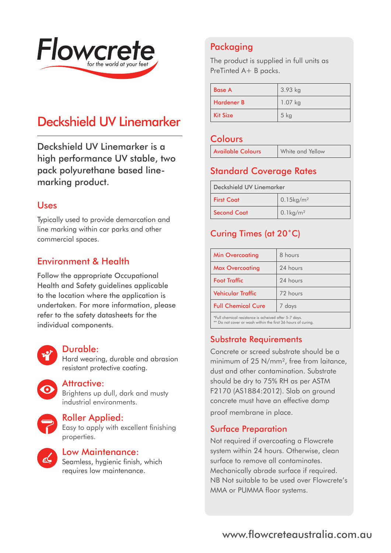

# Deckshield UV Linemarker

Deckshield UV Linemarker is a high performance UV stable, two pack polyurethane based linemarking product.

#### Uses

Typically used to provide demarcation and line marking within car parks and other commercial spaces.

## Environment & Health

Follow the appropriate Occupational Health and Safety guidelines applicable to the location where the application is undertaken. For more information, please refer to the safety datasheets for the individual components.



#### Durable:

Hard wearing, durable and abrasion resistant protective coating.

Attractive:

Brightens up dull, dark and musty industrial environments.



#### Roller Applied:

Easy to apply with excellent finishing properties.



## Low Maintenance:

Seamless, hygienic finish, which requires low maintenance.

## Packaging

The product is supplied in full units as PreTinted A+ B packs.

| <b>Base A</b>     | $3.93$ kg |
|-------------------|-----------|
| <b>Hardener B</b> | $1.07$ kg |
| <b>Kit Size</b>   | $5$ kg    |

#### **Colours**

| <b>Available Colours</b> | White and Yellow |
|--------------------------|------------------|
|--------------------------|------------------|

## Standard Coverage Rates

| Deckshield UV Linemarker |                          |
|--------------------------|--------------------------|
| <b>First Coat</b>        | $0.15$ kg/m <sup>2</sup> |
| <b>Second Coat</b>       | $0.1 \text{kg/m}^2$      |

## Curing Times (at 20˚C)

| <b>Min Overcoating</b>    | 8 hours  |
|---------------------------|----------|
| <b>Max Overcoating</b>    | 24 hours |
| <b>Foot Traffic</b>       | 24 hours |
| <b>Vehicular Traffic</b>  | 72 hours |
| <b>Full Chemical Cure</b> | 7 days   |
|                           |          |

\*Full chemical resistance is acheived after 5-7 days. \*\* Do not cover or wash within the first 36 hours of curing.

## Substrate Requirements

Concrete or screed substrate should be a minimum of 25 N/mm<sup>2</sup>, free from laitance. dust and other contamination. Substrate should be dry to 75% RH as per ASTM F2170 (AS1884:2012). Slab on ground concrete must have an effective damp proof membrane in place.

## Surface Preparation

Not required if overcoating a Flowcrete system within 24 hours. Otherwise, clean surface to remove all contaminates. Mechanically abrade surface if required. NB Not suitable to be used over Flowcrete's MMA or PUMMA floor systems.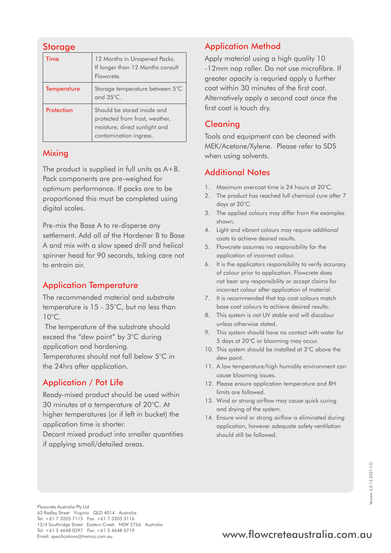## **Storage**

| Time               | 12 Months in Unopened Packs.<br>If longer than 12 Months consult<br>Flowcrete.                                           |
|--------------------|--------------------------------------------------------------------------------------------------------------------------|
| <b>Temperature</b> | Storage temperature between 5°C<br>and $35^{\circ}$ C.                                                                   |
| Protection         | Should be stored inside and<br>protected from frost, weather,<br>moisture, direct sunlight and<br>contamination ingress. |

#### **Mixing**

The product is supplied in full units as A+B. Pack components are pre-weighed for optimum performance. If packs are to be proportioned this must be completed using digital scales.

Pre-mix the Base A to re-disperse any settlement. Add all of the Hardener B to Base A and mix with a slow speed drill and helical spinner head for 90 seconds, taking care not to entrain air.

## Application Temperature

The recommended material and substrate temperature is 15 - 35°C, but no less than 10°C.

 The temperature of the substrate should exceed the "dew point" by 3°C during application and hardening.

Temperatures should not fall below 5°C in the 24hrs after application.

## Application / Pot Life

Ready-mixed product should be used within 30 minutes at a temperature of 20°C. At higher temperatures (or if left in bucket) the application time is shorter.

Decant mixed product into smaller quantities if applying small/detailed areas.

## Application Method

Apply material using a high quality 10 -12mm nap roller. Do not use microfibre. If greater opacity is requried apply a further coat within 30 minutes of the first coat. Alternatively apply a second coat once the first coat is touch dry.

## **Cleaning**

Tools and equipment can be cleaned with MEK/Acetone/Xylene. Please refer to SDS when using solvents.

## Additional Notes

- 1. Maximum overcoat time is 24 hours at 20°C.
- 2. The product has reached full chemical cure after 7 days at 20°C.
- 3. The applied colours may differ from the examples shown.
- 4. Light and vibrant colours may require additional coats to achieve desired results.
- 5. Flowcrete assumes no responsibility for the application of incorrect colour.
- 6. It is the applicators responsibility to verify accuracy of colour prior to application. Flowcrete does not bear any responsibility or accept claims for incorrect colour after application of material.
- 7. It is recommended that top coat colours match base coat colours to achieve desired results.
- 8. This system is not UV stable and will discolour unless otherwise stated.
- 9. This system should have no contact with water for 5 days at 20°C or blooming may occur.
- 10. This system should be installed at 3°C above the dew point.
- 11. A low temperature/high humidity environment can cause blooming issues.
- 12. Please ensure application temperature and RH limits are followed.
- 13. Wind or strong airflow may cause quick curing and drying of the system.
- 14. Ensure wind or strong airflow is eliminated during application, however adequate safety ventilation should still be followed.